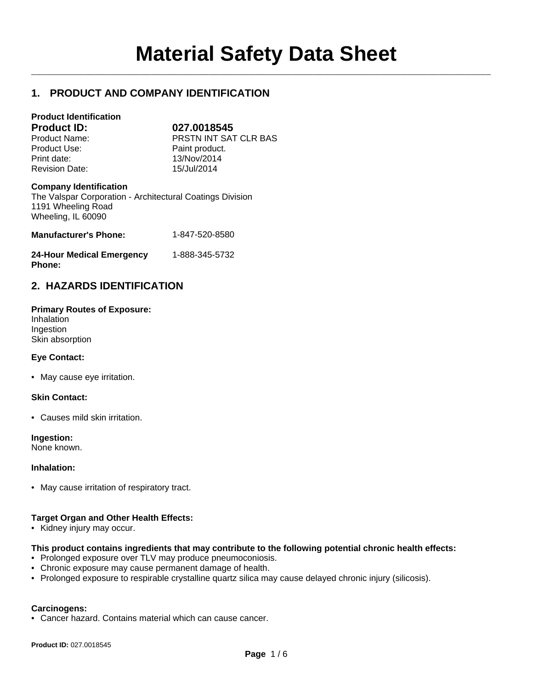$\mathcal{L}_\mathcal{L} = \mathcal{L}_\mathcal{L}$ 

# **1. PRODUCT AND COMPANY IDENTIFICATION**

| <b>Product Identification</b> |                       |
|-------------------------------|-----------------------|
| <b>Product ID:</b>            | 027.0018545           |
| Product Name:                 | PRSTN INT SAT CLR BAS |
| Product Use:                  | Paint product.        |
| Print date:                   | 13/Nov/2014           |
| <b>Revision Date:</b>         | 15/Jul/2014           |
| <b>Company Identification</b> |                       |

The Valspar Corporation - Architectural Coatings Division 1191 Wheeling Road Wheeling, IL 60090

| <b>Manufacturer's Phone:</b>     | 1-847-520-8580 |
|----------------------------------|----------------|
| <b>24-Hour Medical Emergency</b> | 1-888-345-5732 |

# **2. HAZARDS IDENTIFICATION**

| <b>Primary Routes of Exposure:</b> |
|------------------------------------|
| Inhalation                         |
| Ingestion                          |
| Skin absorption                    |

# **Eye Contact:**

**Phone:**

• May cause eye irritation.

## **Skin Contact:**

• Causes mild skin irritation.

**Ingestion:**

None known.

## **Inhalation:**

• May cause irritation of respiratory tract.

## **Target Organ and Other Health Effects:**

• Kidney injury may occur.

## **This product contains ingredients that may contribute to the following potential chronic health effects:**

- Prolonged exposure over TLV may produce pneumoconiosis.
- Chronic exposure may cause permanent damage of health.
- Prolonged exposure to respirable crystalline quartz silica may cause delayed chronic injury (silicosis).

## **Carcinogens:**

• Cancer hazard. Contains material which can cause cancer.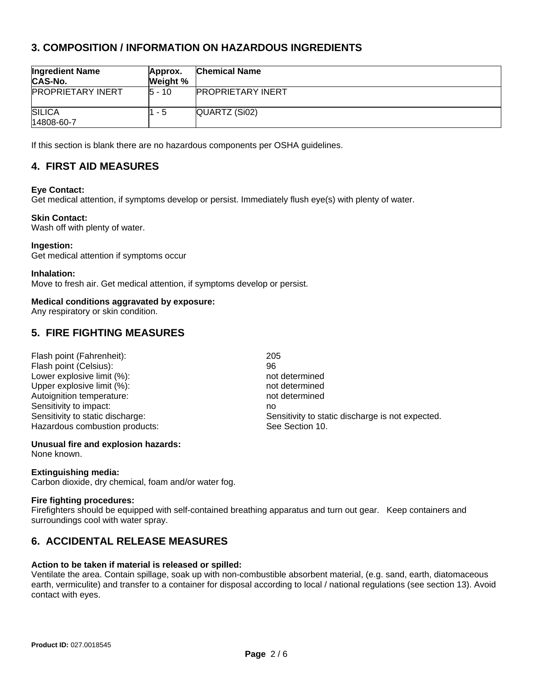# **3. COMPOSITION / INFORMATION ON HAZARDOUS INGREDIENTS**

| <b>Ingredient Name</b><br>CAS-No. | Approx.<br>Weight % | <b>Chemical Name</b>     |
|-----------------------------------|---------------------|--------------------------|
| <b>PROPRIETARY INERT</b>          | $15 - 10$           | <b>PROPRIETARY INERT</b> |
| <b>SILICA</b><br>14808-60-7       | 1 - 5               | QUARTZ (Si02)            |

If this section is blank there are no hazardous components per OSHA guidelines.

# **4. FIRST AID MEASURES**

## **Eye Contact:**

Get medical attention, if symptoms develop or persist. Immediately flush eye(s) with plenty of water.

#### **Skin Contact:**

Wash off with plenty of water.

#### **Ingestion:**

Get medical attention if symptoms occur

#### **Inhalation:**

Move to fresh air. Get medical attention, if symptoms develop or persist.

## **Medical conditions aggravated by exposure:**

Any respiratory or skin condition.

# **5. FIRE FIGHTING MEASURES**

| Flash point (Fahrenheit):        | 205                                              |
|----------------------------------|--------------------------------------------------|
| Flash point (Celsius):           | 96                                               |
| Lower explosive limit (%):       | not determined                                   |
| Upper explosive limit (%):       | not determined                                   |
| Autoignition temperature:        | not determined                                   |
| Sensitivity to impact:           | no                                               |
| Sensitivity to static discharge: | Sensitivity to static discharge is not expected. |
| Hazardous combustion products:   | See Section 10.                                  |

## **Unusual fire and explosion hazards:**

None known.

## **Extinguishing media:**

Carbon dioxide, dry chemical, foam and/or water fog.

#### **Fire fighting procedures:**

Firefighters should be equipped with self-contained breathing apparatus and turn out gear. Keep containers and surroundings cool with water spray.

# **6. ACCIDENTAL RELEASE MEASURES**

#### **Action to be taken if material is released or spilled:**

Ventilate the area. Contain spillage, soak up with non-combustible absorbent material, (e.g. sand, earth, diatomaceous earth, vermiculite) and transfer to a container for disposal according to local / national regulations (see section 13). Avoid contact with eyes.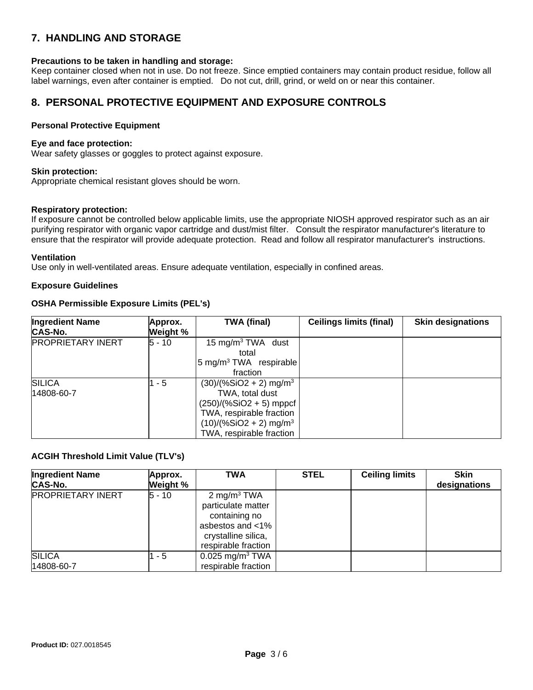# **7. HANDLING AND STORAGE**

# **Precautions to be taken in handling and storage:**

Keep container closed when not in use. Do not freeze. Since emptied containers may contain product residue, follow all label warnings, even after container is emptied. Do not cut, drill, grind, or weld on or near this container.

# **8. PERSONAL PROTECTIVE EQUIPMENT AND EXPOSURE CONTROLS**

## **Personal Protective Equipment**

## **Eye and face protection:**

Wear safety glasses or goggles to protect against exposure.

#### **Skin protection:**

Appropriate chemical resistant gloves should be worn.

#### **Respiratory protection:**

If exposure cannot be controlled below applicable limits, use the appropriate NIOSH approved respirator such as an air purifying respirator with organic vapor cartridge and dust/mist filter. Consult the respirator manufacturer's literature to ensure that the respirator will provide adequate protection. Read and follow all respirator manufacturer's instructions.

#### **Ventilation**

Use only in well-ventilated areas. Ensure adequate ventilation, especially in confined areas.

## **Exposure Guidelines**

## **OSHA Permissible Exposure Limits (PEL's)**

| <b>Ingredient Name</b>   | Approx.  | <b>TWA (final)</b>                   | <b>Ceilings limits (final)</b> | <b>Skin designations</b> |
|--------------------------|----------|--------------------------------------|--------------------------------|--------------------------|
| <b>CAS-No.</b>           | Weight % |                                      |                                |                          |
| <b>PROPRIETARY INERT</b> | 5 - 10   | 15 mg/m <sup>3</sup> TWA dust        |                                |                          |
|                          |          | total                                |                                |                          |
|                          |          | 5 mg/m <sup>3</sup> TWA respirable   |                                |                          |
|                          |          | fraction                             |                                |                          |
| <b>SILICA</b>            | - 5      | $(30)/(%SiO2 + 2)$ mg/m <sup>3</sup> |                                |                          |
| 14808-60-7               |          | TWA, total dust                      |                                |                          |
|                          |          | $(250)/(%SiO2 + 5)$ mppcf            |                                |                          |
|                          |          | TWA, respirable fraction             |                                |                          |
|                          |          | $(10)/(%SiO2 + 2)$ mg/m <sup>3</sup> |                                |                          |
|                          |          | TWA, respirable fraction             |                                |                          |

## **ACGIH Threshold Limit Value (TLV's)**

| <b>Ingredient Name</b><br><b>CAS-No.</b> | Approx.<br>Weight % | <b>TWA</b>                                                                                                                       | <b>STEL</b> | <b>Ceiling limits</b> | <b>Skin</b><br>designations |
|------------------------------------------|---------------------|----------------------------------------------------------------------------------------------------------------------------------|-------------|-----------------------|-----------------------------|
| <b>PROPRIETARY INERT</b>                 | 5 - 10              | 2 mg/m <sup>3</sup> TWA<br>particulate matter<br>containing no<br>asbestos and <1%<br>crystalline silica,<br>respirable fraction |             |                       |                             |
| <b>SILICA</b><br>14808-60-7              | - 5                 | $0.025$ mg/m <sup>3</sup> TWA<br>respirable fraction                                                                             |             |                       |                             |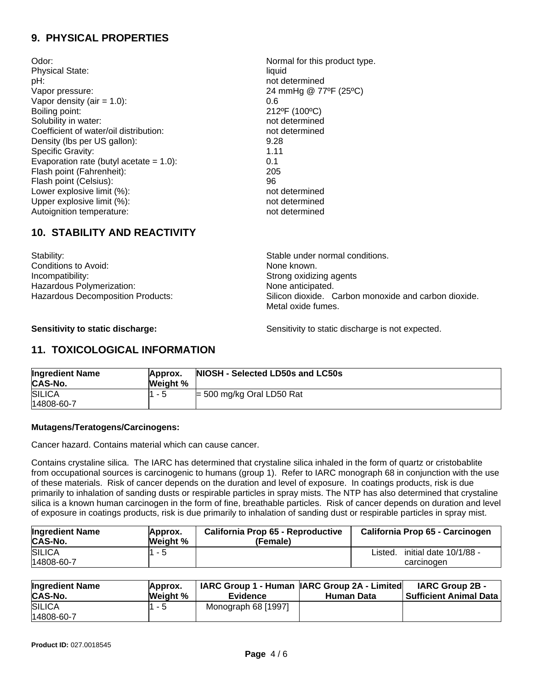# **9. PHYSICAL PROPERTIES**

Odor:  $\blacksquare$  Normal for this product type. Physical State: liquid pH: not determined Vapor pressure: 24 mmHg @ 77ºF (25ºC) Vapor density  $(air = 1.0)$ : 0.6 Boiling point: 212°F (100°C) Solubility in water: not determined Coefficient of water/oil distribution: not determined Density (lbs per US gallon): 9.28 Specific Gravity: 1.11 Evaporation rate (butyl acetate  $= 1.0$ ): 0.1 Flash point (Fahrenheit): 205 Flash point (Celsius): 96 Lower explosive limit (%):<br>
Upper explosive limit (%):<br>
Upper explosive limit (%): Upper explosive limit (%):<br>
Autoianition temperature:<br>
autoianition temperature:<br>
and the most determined Autoignition temperature:

# **10. STABILITY AND REACTIVITY**

Stability: Stability: Stable under normal conditions. Conditions to Avoid: None known. Incompatibility:  $\qquad \qquad$  Incompatibility: Hazardous Polymerization: None anticipated.

Hazardous Decomposition Products: Silicon dioxide. Carbon monoxide and carbon dioxide. Metal oxide fumes.

**Sensitivity to static discharge:** Sensitivity to static discharge is not expected.

# **11. TOXICOLOGICAL INFORMATION**

| <b>Ingredient Name</b><br>CAS-No. | Approx.<br>Weight % | NIOSH - Selected LD50s and LC50s |
|-----------------------------------|---------------------|----------------------------------|
| <b>SILICA</b>                     | l1 - 5              | $=$ 500 mg/kg Oral LD50 Rat      |
| 14808-60-7                        |                     |                                  |

# **Mutagens/Teratogens/Carcinogens:**

Cancer hazard. Contains material which can cause cancer.

Contains crystaline silica. The IARC has determined that crystaline silica inhaled in the form of quartz or cristobablite from occupational sources is carcinogenic to humans (group 1). Refer to IARC monograph 68 in conjunction with the use of these materials. Risk of cancer depends on the duration and level of exposure. In coatings products, risk is due primarily to inhalation of sanding dusts or respirable particles in spray mists. The NTP has also determined that crystaline silica is a known human carcinogen in the form of fine, breathable particles. Risk of cancer depends on duration and level of exposure in coatings products, risk is due primarily to inhalation of sanding dust or respirable particles in spray mist.

| <b>Ingredient Name</b>      | Approx.  | California Prop 65 - Reproductive | California Prop 65 - Carcinogen                 |
|-----------------------------|----------|-----------------------------------|-------------------------------------------------|
| CAS-No.                     | Weight % | (Female)                          |                                                 |
| <b>SILICA</b><br>14808-60-7 | 1 - 5    |                                   | initial date 10/1/88 -<br>Listed.<br>carcinogen |

| <b>Ingredient Name</b><br><b>CAS-No.</b> | Approx.<br>Weight % | <b>Evidence</b>     | IARC Group 1 - Human   IARC Group 2A - Limited <br><b>Human Data</b> | <b>IARC Group 2B -</b><br>l Sufficient Animal Data l |
|------------------------------------------|---------------------|---------------------|----------------------------------------------------------------------|------------------------------------------------------|
| <b>SILICA</b>                            | 1 - 5               | Monograph 68 [1997] |                                                                      |                                                      |
| 14808-60-7                               |                     |                     |                                                                      |                                                      |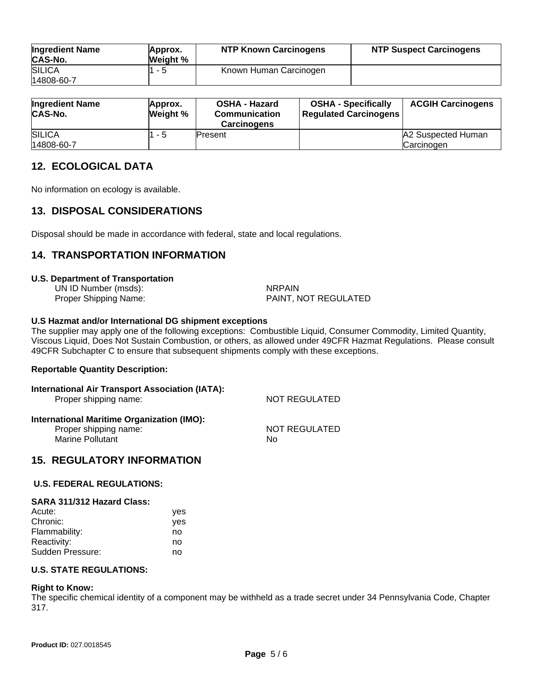| <b>Ingredient Name</b><br><b>CAS-No.</b> | Approx.<br>Weight % | <b>NTP Known Carcinogens</b> | <b>NTP Suspect Carcinogens</b> |
|------------------------------------------|---------------------|------------------------------|--------------------------------|
| <b>SILICA</b>                            | 1 - 5               | Known Human Carcinogen       |                                |
| 14808-60-7                               |                     |                              |                                |

| <b>Ingredient Name</b><br><b>CAS-No.</b> | Approx.<br>Weight % | <b>OSHA - Hazard</b><br><b>Communication</b><br><b>Carcinogens</b> | <b>OSHA - Specifically</b><br><b>Regulated Carcinogens</b> | <b>ACGIH Carcinogens</b> |
|------------------------------------------|---------------------|--------------------------------------------------------------------|------------------------------------------------------------|--------------------------|
| <b>SILICA</b>                            | 1 - 5               | Present                                                            |                                                            | A2 Suspected Human       |
| 14808-60-7                               |                     |                                                                    |                                                            | Carcinogen               |

# **12. ECOLOGICAL DATA**

No information on ecology is available.

# **13. DISPOSAL CONSIDERATIONS**

Disposal should be made in accordance with federal, state and local regulations.

# **14. TRANSPORTATION INFORMATION**

#### **U.S. Department of Transportation**

UN ID Number (msds):<br>
Proper Shipping Name: National School (Martin Bally) PAINT, N PAINT, NOT REGULATED

#### **U.S Hazmat and/or International DG shipment exceptions**

The supplier may apply one of the following exceptions: Combustible Liquid, Consumer Commodity, Limited Quantity, Viscous Liquid, Does Not Sustain Combustion, or others, as allowed under 49CFR Hazmat Regulations. Please consult 49CFR Subchapter C to ensure that subsequent shipments comply with these exceptions.

## **Reportable Quantity Description:**

| International Air Transport Association (IATA):<br>Proper shipping name: | NOT REGULATED |  |
|--------------------------------------------------------------------------|---------------|--|
| <b>International Maritime Organization (IMO):</b>                        |               |  |
| Proper shipping name:                                                    | NOT REGULATED |  |
| <b>Marine Pollutant</b>                                                  | Nο            |  |

# **15. REGULATORY INFORMATION**

## **U.S. FEDERAL REGULATIONS:**

#### **SARA 311/312 Hazard Class:**

| yes |
|-----|
| yes |
| no  |
| no  |
| no  |
|     |

# **U.S. STATE REGULATIONS:**

#### **Right to Know:**

The specific chemical identity of a component may be withheld as a trade secret under 34 Pennsylvania Code, Chapter 317.